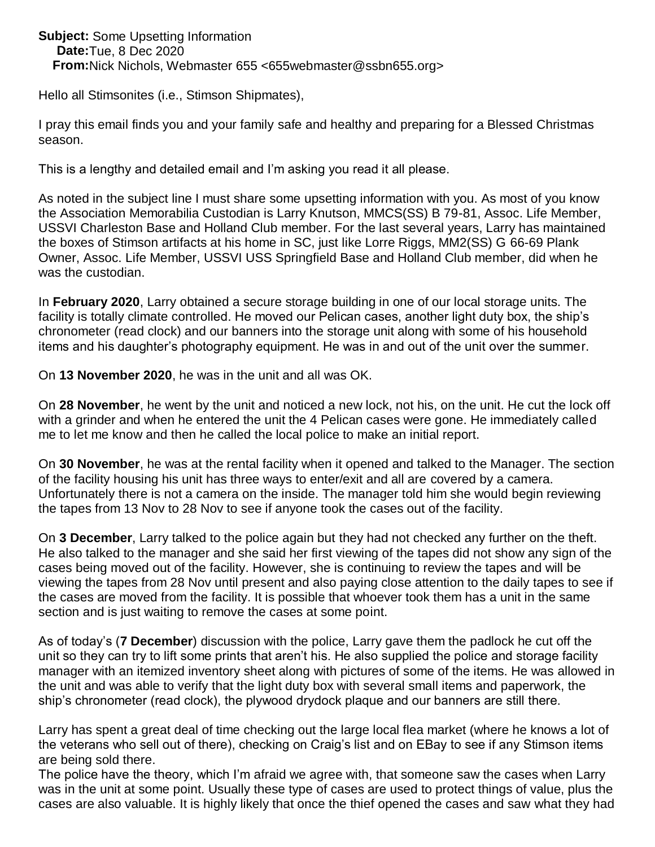**Subject:** Some Upsetting Information **Date:** Tue, 8 Dec 2020 **From:** Nick Nichols, Webmaster 655 <655webmaster@ssbn655.org>

Hello all Stimsonites (i.e., Stimson Shipmates),

I pray this email finds you and your family safe and healthy and preparing for a Blessed Christmas season.

This is a lengthy and detailed email and I'm asking you read it all please.

As noted in the subject line I must share some upsetting information with you. As most of you know the Association Memorabilia Custodian is Larry Knutson, MMCS(SS) B 79-81, Assoc. Life Member, USSVI Charleston Base and Holland Club member. For the last several years, Larry has maintained the boxes of Stimson artifacts at his home in SC, just like Lorre Riggs, MM2(SS) G 66-69 Plank Owner, Assoc. Life Member, USSVI USS Springfield Base and Holland Club member, did when he was the custodian.

In **February 2020**, Larry obtained a secure storage building in one of our local storage units. The facility is totally climate controlled. He moved our Pelican cases, another light duty box, the ship's chronometer (read clock) and our banners into the storage unit along with some of his household items and his daughter's photography equipment. He was in and out of the unit over the summer.

On **13 November 2020**, he was in the unit and all was OK.

On **28 November**, he went by the unit and noticed a new lock, not his, on the unit. He cut the lock off with a grinder and when he entered the unit the 4 Pelican cases were gone. He immediately called me to let me know and then he called the local police to make an initial report.

On **30 November**, he was at the rental facility when it opened and talked to the Manager. The section of the facility housing his unit has three ways to enter/exit and all are covered by a camera. Unfortunately there is not a camera on the inside. The manager told him she would begin reviewing the tapes from 13 Nov to 28 Nov to see if anyone took the cases out of the facility.

On **3 December**, Larry talked to the police again but they had not checked any further on the theft. He also talked to the manager and she said her first viewing of the tapes did not show any sign of the cases being moved out of the facility. However, she is continuing to review the tapes and will be viewing the tapes from 28 Nov until present and also paying close attention to the daily tapes to see if the cases are moved from the facility. It is possible that whoever took them has a unit in the same section and is just waiting to remove the cases at some point.

As of today's (**7 December**) discussion with the police, Larry gave them the padlock he cut off the unit so they can try to lift some prints that aren't his. He also supplied the police and storage facility manager with an itemized inventory sheet along with pictures of some of the items. He was allowed in the unit and was able to verify that the light duty box with several small items and paperwork, the ship's chronometer (read clock), the plywood drydock plaque and our banners are still there.

Larry has spent a great deal of time checking out the large local flea market (where he knows a lot of the veterans who sell out of there), checking on Craig's list and on EBay to see if any Stimson items are being sold there.

The police have the theory, which I'm afraid we agree with, that someone saw the cases when Larry was in the unit at some point. Usually these type of cases are used to protect things of value, plus the cases are also valuable. It is highly likely that once the thief opened the cases and saw what they had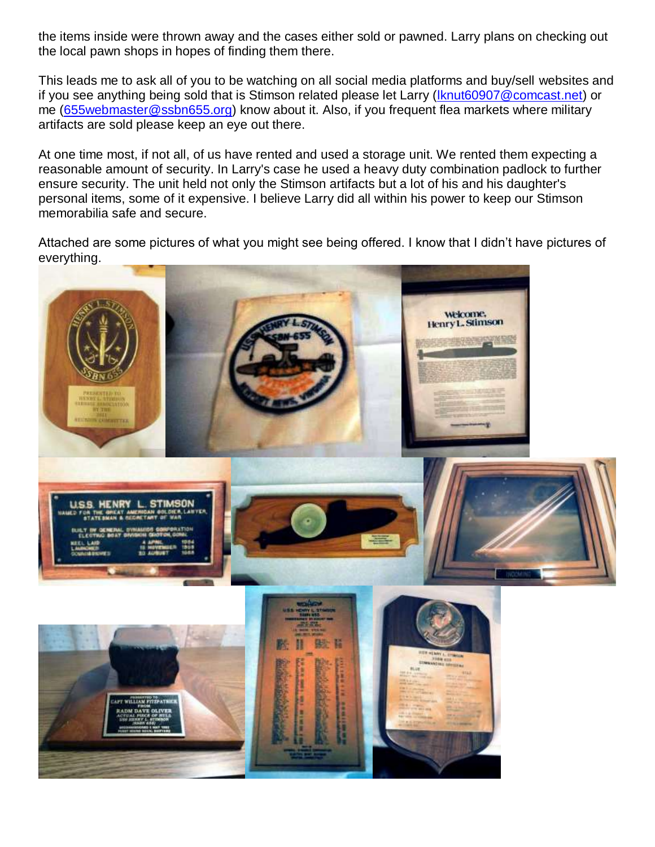the items inside were thrown away and the cases either sold or pawned. Larry plans on checking out the local pawn shops in hopes of finding them there.

This leads me to ask all of you to be watching on all social media platforms and buy/sell websites and if you see anything being sold that is Stimson related please let Larry [\(lknut60907@comcast.net\)](mailto:lknut60907@comcast.net) or me (655 webmaster@ssbn655.org) know about it. Also, if you frequent flea markets where military artifacts are sold please keep an eye out there.

At one time most, if not all, of us have rented and used a storage unit. We rented them expecting a reasonable amount of security. In Larry's case he used a heavy duty combination padlock to further ensure security. The unit held not only the Stimson artifacts but a lot of his and his daughter's personal items, some of it expensive. I believe Larry did all within his power to keep our Stimson memorabilia safe and secure.

Attached are some pictures of what you might see being offered. I know that I didn't have pictures of everything.